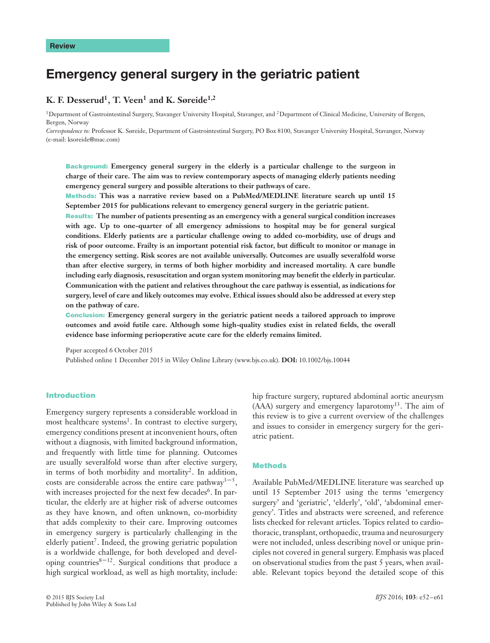# **Emergency general surgery in the geriatric patient**

# **K. F. Desserud1, T. Veen1 and K. Søreide1,2**

<sup>1</sup>Department of Gastrointestinal Surgery, Stavanger University Hospital, Stavanger, and <sup>2</sup>Department of Clinical Medicine, University of Bergen, Bergen, Norway

*Correspondence to:* Professor K. Søreide, Department of Gastrointestinal Surgery, PO Box 8100, Stavanger University Hospital, Stavanger, Norway (e-mail: ksoreide@mac.com)

**Background: Emergency general surgery in the elderly is a particular challenge to the surgeon in charge of their care. The aim was to review contemporary aspects of managing elderly patients needing emergency general surgery and possible alterations to their pathways of care.**

**Methods: This was a narrative review based on a PubMed/MEDLINE literature search up until 15 September 2015 for publications relevant to emergency general surgery in the geriatric patient.**

**Results: The number of patients presenting as an emergency with a general surgical condition increases with age. Up to one-quarter of all emergency admissions to hospital may be for general surgical conditions. Elderly patients are a particular challenge owing to added co-morbidity, use of drugs and risk of poor outcome. Frailty is an important potential risk factor, but difficult to monitor or manage in the emergency setting. Risk scores are not available universally. Outcomes are usually severalfold worse than after elective surgery, in terms of both higher morbidity and increased mortality. A care bundle including early diagnosis, resuscitation and organ system monitoring may benefit the elderly in particular. Communication with the patient and relatives throughout the care pathway is essential, as indications for surgery, level of care and likely outcomes may evolve. Ethical issues should also be addressed at every step on the pathway of care.**

**Conclusion: Emergency general surgery in the geriatric patient needs a tailored approach to improve outcomes and avoid futile care. Although some high-quality studies exist in related fields, the overall evidence base informing perioperative acute care for the elderly remains limited.**

Paper accepted 6 October 2015 Published online 1 December 2015 in Wiley Online Library (www.bjs.co.uk). **DOI:** 10.1002/bjs.10044

## **Introduction**

Emergency surgery represents a considerable workload in most healthcare systems<sup>1</sup>. In contrast to elective surgery, emergency conditions present at inconvenient hours, often without a diagnosis, with limited background information, and frequently with little time for planning. Outcomes are usually severalfold worse than after elective surgery, in terms of both morbidity and mortality<sup>2</sup>. In addition, costs are considerable across the entire care pathway<sup>3-5</sup>, with increases projected for the next few decades<sup>6</sup>. In particular, the elderly are at higher risk of adverse outcomes as they have known, and often unknown, co-morbidity that adds complexity to their care. Improving outcomes in emergency surgery is particularly challenging in the elderly patient<sup>7</sup>. Indeed, the growing geriatric population is a worldwide challenge, for both developed and developing countries $8-12$ . Surgical conditions that produce a high surgical workload, as well as high mortality, include:

hip fracture surgery, ruptured abdominal aortic aneurysm (AAA) surgery and emergency laparotomy13. The aim of this review is to give a current overview of the challenges and issues to consider in emergency surgery for the geriatric patient.

# **Methods**

Available PubMed/MEDLINE literature was searched up until 15 September 2015 using the terms 'emergency surgery' and 'geriatric', 'elderly', 'old', 'abdominal emergency'. Titles and abstracts were screened, and reference lists checked for relevant articles. Topics related to cardiothoracic, transplant, orthopaedic, trauma and neurosurgery were not included, unless describing novel or unique principles not covered in general surgery. Emphasis was placed on observational studies from the past 5 years, when available. Relevant topics beyond the detailed scope of this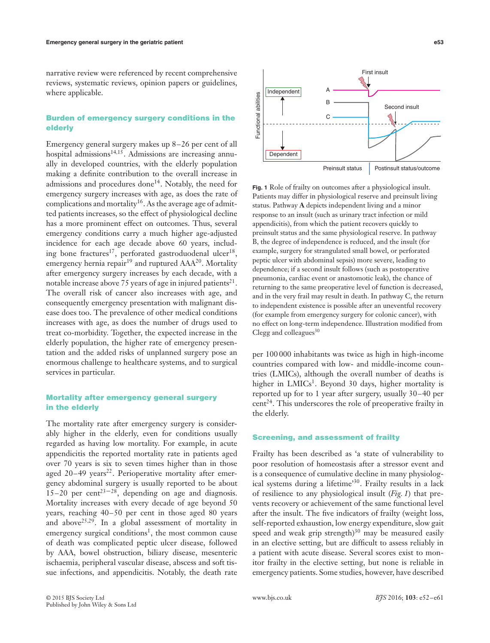narrative review were referenced by recent comprehensive reviews, systematic reviews, opinion papers or guidelines, where applicable.

# **Burden of emergency surgery conditions in the elderly**

Emergency general surgery makes up 8–26 per cent of all hospital admissions<sup>14,15</sup>. Admissions are increasing annually in developed countries, with the elderly population making a definite contribution to the overall increase in admissions and procedures done<sup>14</sup>. Notably, the need for emergency surgery increases with age, as does the rate of complications and mortality<sup>16</sup>. As the average age of admitted patients increases, so the effect of physiological decline has a more prominent effect on outcomes. Thus, several emergency conditions carry a much higher age-adjusted incidence for each age decade above 60 years, including bone fractures<sup>17</sup>, perforated gastroduodenal ulcer<sup>18</sup>, emergency hernia repair<sup>19</sup> and ruptured AAA<sup>20</sup>. Mortality after emergency surgery increases by each decade, with a notable increase above 75 years of age in injured patients<sup>21</sup>. The overall risk of cancer also increases with age, and consequently emergency presentation with malignant disease does too. The prevalence of other medical conditions increases with age, as does the number of drugs used to treat co-morbidity. Together, the expected increase in the elderly population, the higher rate of emergency presentation and the added risks of unplanned surgery pose an enormous challenge to healthcare systems, and to surgical services in particular.

# **Mortality after emergency general surgery in the elderly**

The mortality rate after emergency surgery is considerably higher in the elderly, even for conditions usually regarded as having low mortality. For example, in acute appendicitis the reported mortality rate in patients aged over 70 years is six to seven times higher than in those aged  $20-49$  years<sup>22</sup>. Perioperative mortality after emergency abdominal surgery is usually reported to be about  $15-20$  per cent<sup>23-28</sup>, depending on age and diagnosis. Mortality increases with every decade of age beyond 50 years, reaching 40–50 per cent in those aged 80 years and above<sup>25,29</sup>. In a global assessment of mortality in emergency surgical conditions<sup>1</sup>, the most common cause of death was complicated peptic ulcer disease, followed by AAA, bowel obstruction, biliary disease, mesenteric ischaemia, peripheral vascular disease, abscess and soft tissue infections, and appendicitis. Notably, the death rate



**Fig. 1** Role of frailty on outcomes after a physiological insult. Patients may differ in physiological reserve and preinsult living status. Pathway **A** depicts independent living and a minor response to an insult (such as urinary tract infection or mild appendicitis), from which the patient recovers quickly to preinsult status and the same physiological reserve. In pathway B, the degree of independence is reduced, and the insult (for example, surgery for strangulated small bowel, or perforated peptic ulcer with abdominal sepsis) more severe, leading to dependence; if a second insult follows (such as postoperative pneumonia, cardiac event or anastomotic leak), the chance of returning to the same preoperative level of function is decreased, and in the very frail may result in death. In pathway C, the return to independent existence is possible after an uneventful recovery (for example from emergency surgery for colonic cancer), with no effect on long-term independence. Illustration modified from Clegg and colleagues $30$ 

per 100 000 inhabitants was twice as high in high-income countries compared with low- and middle-income countries (LMICs), although the overall number of deaths is higher in  $LMICs<sup>1</sup>$ . Beyond 30 days, higher mortality is reported up for to 1 year after surgery, usually 30–40 per  $cent<sup>24</sup>$ . This underscores the role of preoperative frailty in the elderly.

# **Screening, and assessment of frailty**

Frailty has been described as 'a state of vulnerability to poor resolution of homeostasis after a stressor event and is a consequence of cumulative decline in many physiological systems during a lifetime'30. Frailty results in a lack of resilience to any physiological insult (*Fig. 1*) that prevents recovery or achievement of the same functional level after the insult. The five indicators of frailty (weight loss, self-reported exhaustion, low energy expenditure, slow gait speed and weak grip strength) $30$  may be measured easily in an elective setting, but are difficult to assess reliably in a patient with acute disease. Several scores exist to monitor frailty in the elective setting, but none is reliable in emergency patients. Some studies, however, have described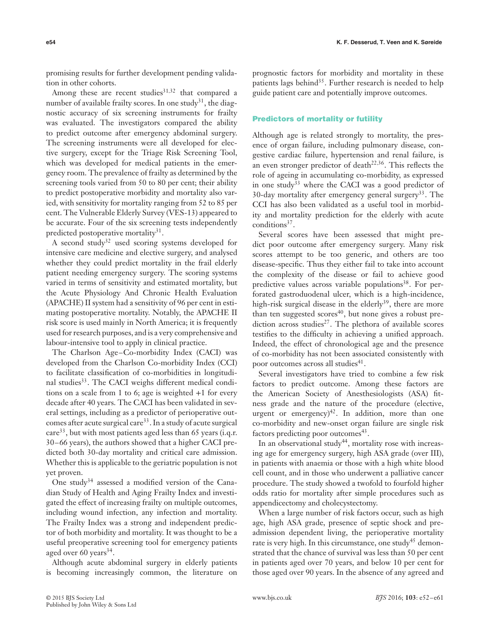promising results for further development pending validation in other cohorts.

Among these are recent studies<sup>31,32</sup> that compared a number of available frailty scores. In one study<sup>31</sup>, the diagnostic accuracy of six screening instruments for frailty was evaluated. The investigators compared the ability to predict outcome after emergency abdominal surgery. The screening instruments were all developed for elective surgery, except for the Triage Risk Screening Tool, which was developed for medical patients in the emergency room. The prevalence of frailty as determined by the screening tools varied from 50 to 80 per cent; their ability to predict postoperative morbidity and mortality also varied, with sensitivity for mortality ranging from 52 to 85 per cent. The Vulnerable Elderly Survey (VES-13) appeared to be accurate. Four of the six screening tests independently predicted postoperative mortality<sup>31</sup>.

A second study<sup>32</sup> used scoring systems developed for intensive care medicine and elective surgery, and analysed whether they could predict mortality in the frail elderly patient needing emergency surgery. The scoring systems varied in terms of sensitivity and estimated mortality, but the Acute Physiology And Chronic Health Evaluation (APACHE) II system had a sensitivity of 96 per cent in estimating postoperative mortality. Notably, the APACHE II risk score is used mainly in North America; it is frequently used for research purposes, and is a very comprehensive and labour-intensive tool to apply in clinical practice.

The Charlson Age–Co-morbidity Index (CACI) was developed from the Charlson Co-morbidity Index (CCI) to facilitate classification of co-morbidities in longitudinal studies<sup>33</sup>. The CACI weighs different medical conditions on a scale from 1 to 6; age is weighted +1 for every decade after 40 years. The CACI has been validated in several settings, including as a predictor of perioperative outcomes after acute surgical care<sup>33</sup>. In a study of acute surgical care<sup>33</sup>, but with most patients aged less than 65 years (i.q.r. 30–66 years), the authors showed that a higher CACI predicted both 30-day mortality and critical care admission. Whether this is applicable to the geriatric population is not yet proven.

One study34 assessed a modified version of the Canadian Study of Health and Aging Frailty Index and investigated the effect of increasing frailty on multiple outcomes, including wound infection, any infection and mortality. The Frailty Index was a strong and independent predictor of both morbidity and mortality. It was thought to be a useful preoperative screening tool for emergency patients aged over 60 years<sup>34</sup>.

Although acute abdominal surgery in elderly patients is becoming increasingly common, the literature on

prognostic factors for morbidity and mortality in these patients lags behind<sup>35</sup>. Further research is needed to help guide patient care and potentially improve outcomes.

#### **Predictors of mortality or futility**

Although age is related strongly to mortality, the presence of organ failure, including pulmonary disease, congestive cardiac failure, hypertension and renal failure, is an even stronger predictor of death<sup>22,36</sup>. This reflects the role of ageing in accumulating co-morbidity, as expressed in one study<sup>33</sup> where the CACI was a good predictor of 30-day mortality after emergency general surgery<sup>33</sup>. The CCI has also been validated as a useful tool in morbidity and mortality prediction for the elderly with acute conditions<sup>37</sup>.

Several scores have been assessed that might predict poor outcome after emergency surgery. Many risk scores attempt to be too generic, and others are too disease-specific. Thus they either fail to take into account the complexity of the disease or fail to achieve good predictive values across variable populations<sup>38</sup>. For perforated gastroduodenal ulcer, which is a high-incidence, high-risk surgical disease in the elderly<sup>39</sup>, there are more than ten suggested scores<sup>40</sup>, but none gives a robust prediction across studies<sup>27</sup>. The plethora of available scores testifies to the difficulty in achieving a unified approach. Indeed, the effect of chronological age and the presence of co-morbidity has not been associated consistently with poor outcomes across all studies<sup>41</sup>.

Several investigators have tried to combine a few risk factors to predict outcome. Among these factors are the American Society of Anesthesiologists (ASA) fitness grade and the nature of the procedure (elective, urgent or emergency) $42$ . In addition, more than one co-morbidity and new-onset organ failure are single risk factors predicting poor outcomes $43$ .

In an observational study<sup>44</sup>, mortality rose with increasing age for emergency surgery, high ASA grade (over III), in patients with anaemia or those with a high white blood cell count, and in those who underwent a palliative cancer procedure. The study showed a twofold to fourfold higher odds ratio for mortality after simple procedures such as appendicectomy and cholecystectomy.

When a large number of risk factors occur, such as high age, high ASA grade, presence of septic shock and preadmission dependent living, the perioperative mortality rate is very high. In this circumstance, one study<sup>45</sup> demonstrated that the chance of survival was less than 50 per cent in patients aged over 70 years, and below 10 per cent for those aged over 90 years. In the absence of any agreed and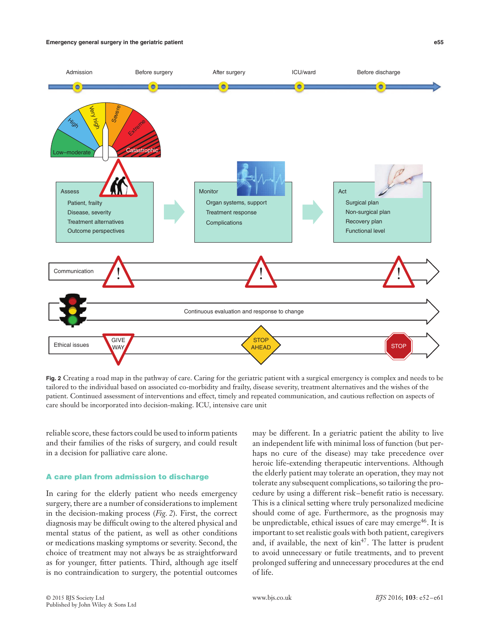#### **Emergency general surgery in the geriatric patient e55**



**Fig. 2** Creating a road map in the pathway of care. Caring for the geriatric patient with a surgical emergency is complex and needs to be tailored to the individual based on associated co-morbidity and frailty, disease severity, treatment alternatives and the wishes of the patient. Continued assessment of interventions and effect, timely and repeated communication, and cautious reflection on aspects of care should be incorporated into decision-making. ICU, intensive care unit

reliable score, these factors could be used to inform patients and their families of the risks of surgery, and could result in a decision for palliative care alone.

## **A care plan from admission to discharge**

In caring for the elderly patient who needs emergency surgery, there are a number of considerations to implement in the decision-making process (*Fig. 2*). First, the correct diagnosis may be difficult owing to the altered physical and mental status of the patient, as well as other conditions or medications masking symptoms or severity. Second, the choice of treatment may not always be as straightforward as for younger, fitter patients. Third, although age itself is no contraindication to surgery, the potential outcomes

may be different. In a geriatric patient the ability to live an independent life with minimal loss of function (but perhaps no cure of the disease) may take precedence over heroic life-extending therapeutic interventions. Although the elderly patient may tolerate an operation, they may not tolerate any subsequent complications, so tailoring the procedure by using a different risk–benefit ratio is necessary. This is a clinical setting where truly personalized medicine should come of age. Furthermore, as the prognosis may be unpredictable, ethical issues of care may emerge<sup>46</sup>. It is important to set realistic goals with both patient, caregivers and, if available, the next of  $\text{kin}^{47}$ . The latter is prudent to avoid unnecessary or futile treatments, and to prevent prolonged suffering and unnecessary procedures at the end of life.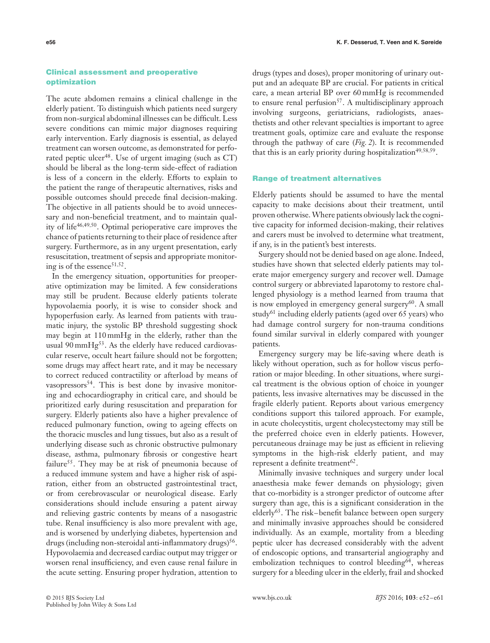# **Clinical assessment and preoperative optimization**

The acute abdomen remains a clinical challenge in the elderly patient. To distinguish which patients need surgery from non-surgical abdominal illnesses can be difficult. Less severe conditions can mimic major diagnoses requiring early intervention. Early diagnosis is essential, as delayed treatment can worsen outcome, as demonstrated for perforated peptic ulcer<sup>48</sup>. Use of urgent imaging (such as  $CT$ ) should be liberal as the long-term side-effect of radiation is less of a concern in the elderly. Efforts to explain to the patient the range of therapeutic alternatives, risks and possible outcomes should precede final decision-making. The objective in all patients should be to avoid unnecessary and non-beneficial treatment, and to maintain quality of life<sup>46</sup>*,*49*,*50. Optimal perioperative care improves the chance of patients returning to their place of residence after surgery. Furthermore, as in any urgent presentation, early resuscitation, treatment of sepsis and appropriate monitoring is of the essence<sup>51,52</sup>.

In the emergency situation, opportunities for preoperative optimization may be limited. A few considerations may still be prudent. Because elderly patients tolerate hypovolaemia poorly, it is wise to consider shock and hypoperfusion early. As learned from patients with traumatic injury, the systolic BP threshold suggesting shock may begin at 110 mmHg in the elderly, rather than the usual 90 mm $Hg<sup>53</sup>$ . As the elderly have reduced cardiovascular reserve, occult heart failure should not be forgotten; some drugs may affect heart rate, and it may be necessary to correct reduced contractility or afterload by means of vasopressors<sup>54</sup>. This is best done by invasive monitoring and echocardiography in critical care, and should be prioritized early during resuscitation and preparation for surgery. Elderly patients also have a higher prevalence of reduced pulmonary function, owing to ageing effects on the thoracic muscles and lung tissues, but also as a result of underlying disease such as chronic obstructive pulmonary disease, asthma, pulmonary fibrosis or congestive heart failure<sup>55</sup>. They may be at risk of pneumonia because of a reduced immune system and have a higher risk of aspiration, either from an obstructed gastrointestinal tract, or from cerebrovascular or neurological disease. Early considerations should include ensuring a patent airway and relieving gastric contents by means of a nasogastric tube. Renal insufficiency is also more prevalent with age, and is worsened by underlying diabetes, hypertension and drugs (including non-steroidal anti-inflammatory drugs)<sup>56</sup>. Hypovolaemia and decreased cardiac output may trigger or worsen renal insufficiency, and even cause renal failure in the acute setting. Ensuring proper hydration, attention to

drugs (types and doses), proper monitoring of urinary output and an adequate BP are crucial. For patients in critical care, a mean arterial BP over 60 mmHg is recommended to ensure renal perfusion $57$ . A multidisciplinary approach involving surgeons, geriatricians, radiologists, anaesthetists and other relevant specialties is important to agree treatment goals, optimize care and evaluate the response through the pathway of care (*Fig. 2*). It is recommended that this is an early priority during hospitalization<sup>49,58,59</sup>.

#### **Range of treatment alternatives**

Elderly patients should be assumed to have the mental capacity to make decisions about their treatment, until proven otherwise.Where patients obviously lack the cognitive capacity for informed decision-making, their relatives and carers must be involved to determine what treatment, if any, is in the patient's best interests.

Surgery should not be denied based on age alone. Indeed, studies have shown that selected elderly patients may tolerate major emergency surgery and recover well. Damage control surgery or abbreviated laparotomy to restore challenged physiology is a method learned from trauma that is now employed in emergency general surgery $60$ . A small study<sup>61</sup> including elderly patients (aged over 65 years) who had damage control surgery for non-trauma conditions found similar survival in elderly compared with younger patients.

Emergency surgery may be life-saving where death is likely without operation, such as for hollow viscus perforation or major bleeding. In other situations, where surgical treatment is the obvious option of choice in younger patients, less invasive alternatives may be discussed in the fragile elderly patient. Reports about various emergency conditions support this tailored approach. For example, in acute cholecystitis, urgent cholecystectomy may still be the preferred choice even in elderly patients. However, percutaneous drainage may be just as efficient in relieving symptoms in the high-risk elderly patient, and may represent a definite treatment $62$ .

Minimally invasive techniques and surgery under local anaesthesia make fewer demands on physiology; given that co-morbidity is a stronger predictor of outcome after surgery than age, this is a significant consideration in the elderly<sup>63</sup>. The risk–benefit balance between open surgery and minimally invasive approaches should be considered individually. As an example, mortality from a bleeding peptic ulcer has decreased considerably with the advent of endoscopic options, and transarterial angiography and embolization techniques to control bleeding<sup>64</sup>, whereas surgery for a bleeding ulcer in the elderly, frail and shocked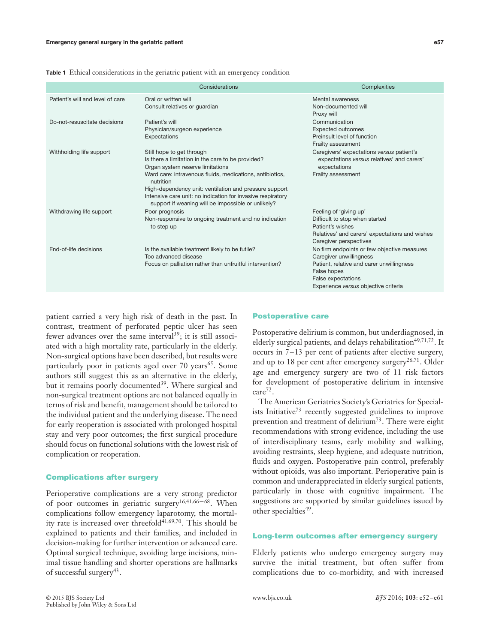|                                  | Considerations                                                                                                                                                                                                                                                                                                                                                             | Complexities                                                                                                                                                                                            |
|----------------------------------|----------------------------------------------------------------------------------------------------------------------------------------------------------------------------------------------------------------------------------------------------------------------------------------------------------------------------------------------------------------------------|---------------------------------------------------------------------------------------------------------------------------------------------------------------------------------------------------------|
| Patient's will and level of care | Oral or written will<br>Consult relatives or guardian                                                                                                                                                                                                                                                                                                                      | Mental awareness<br>Non-documented will<br>Proxy will                                                                                                                                                   |
| Do-not-resuscitate decisions     | Patient's will<br>Physician/surgeon experience<br>Expectations                                                                                                                                                                                                                                                                                                             | Communication<br><b>Expected outcomes</b><br>Preinsult level of function<br>Frailty assessment                                                                                                          |
| Withholding life support         | Still hope to get through<br>Is there a limitation in the care to be provided?<br>Organ system reserve limitations<br>Ward care: intravenous fluids, medications, antibiotics,<br>nutrition<br>High-dependency unit: ventilation and pressure support<br>Intensive care unit: no indication for invasive respiratory<br>support if weaning will be impossible or unlikely? | Caregivers' expectations versus patient's<br>expectations versus relatives' and carers'<br>expectations<br>Frailty assessment                                                                           |
| Withdrawing life support         | Poor prognosis<br>Non-responsive to ongoing treatment and no indication<br>to step up                                                                                                                                                                                                                                                                                      | Feeling of 'giving up'<br>Difficult to stop when started<br>Patient's wishes<br>Relatives' and carers' expectations and wishes<br>Caregiver perspectives                                                |
| End-of-life decisions            | Is the available treatment likely to be futile?<br>Too advanced disease<br>Focus on palliation rather than unfruitful intervention?                                                                                                                                                                                                                                        | No firm endpoints or few objective measures<br>Caregiver unwillingness<br>Patient, relative and carer unwillingness<br>False hopes<br><b>False expectations</b><br>Experience versus objective criteria |

**Table 1** Ethical considerations in the geriatric patient with an emergency condition

patient carried a very high risk of death in the past. In contrast, treatment of perforated peptic ulcer has seen fewer advances over the same interval<sup>39</sup>; it is still associated with a high mortality rate, particularly in the elderly. Non-surgical options have been described, but results were particularly poor in patients aged over  $70$  years<sup>65</sup>. Some authors still suggest this as an alternative in the elderly, but it remains poorly documented<sup>39</sup>. Where surgical and non-surgical treatment options are not balanced equally in terms of risk and benefit, management should be tailored to the individual patient and the underlying disease. The need for early reoperation is associated with prolonged hospital stay and very poor outcomes; the first surgical procedure should focus on functional solutions with the lowest risk of complication or reoperation.

## **Complications after surgery**

Perioperative complications are a very strong predictor of poor outcomes in geriatric surgery16*,*41*,*66–68. When complications follow emergency laparotomy, the mortality rate is increased over threefold<sup>41,69,70</sup>. This should be explained to patients and their families, and included in decision-making for further intervention or advanced care. Optimal surgical technique, avoiding large incisions, minimal tissue handling and shorter operations are hallmarks of successful surgery<sup>43</sup>.

#### **Postoperative care**

Postoperative delirium is common, but underdiagnosed, in elderly surgical patients, and delays rehabilitation<sup>49,71,72</sup>. It occurs in 7–13 per cent of patients after elective surgery, and up to 18 per cent after emergency surgery<sup>26,71</sup>. Older age and emergency surgery are two of 11 risk factors for development of postoperative delirium in intensive care<sup>72</sup>.

The American Geriatrics Society's Geriatrics for Specialists Initiative<sup>73</sup> recently suggested guidelines to improve prevention and treatment of delirium<sup>73</sup>. There were eight recommendations with strong evidence, including the use of interdisciplinary teams, early mobility and walking, avoiding restraints, sleep hygiene, and adequate nutrition, fluids and oxygen. Postoperative pain control, preferably without opioids, was also important. Perioperative pain is common and underappreciated in elderly surgical patients, particularly in those with cognitive impairment. The suggestions are supported by similar guidelines issued by other specialties<sup>49</sup>.

# **Long-term outcomes after emergency surgery**

Elderly patients who undergo emergency surgery may survive the initial treatment, but often suffer from complications due to co-morbidity, and with increased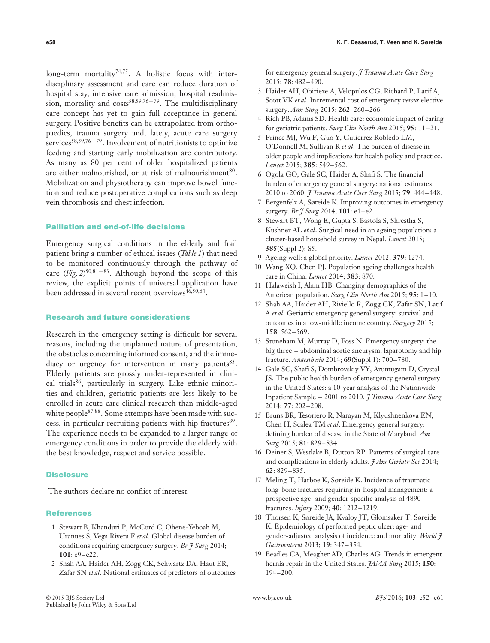long-term mortality<sup>74,75</sup>. A holistic focus with interdisciplinary assessment and care can reduce duration of hospital stay, intensive care admission, hospital readmission, mortality and costs<sup>58,59,76–79</sup>. The multidisciplinary care concept has yet to gain full acceptance in general surgery. Positive benefits can be extrapolated from orthopaedics, trauma surgery and, lately, acute care surgery services<sup>58,59,76–79</sup>. Involvement of nutritionists to optimize feeding and starting early mobilization are contributory. As many as 80 per cent of older hospitalized patients are either malnourished, or at risk of malnourishment<sup>80</sup>. Mobilization and physiotherapy can improve bowel function and reduce postoperative complications such as deep vein thrombosis and chest infection.

# **Palliation and end-of-life decisions**

Emergency surgical conditions in the elderly and frail patient bring a number of ethical issues (*Table 1*) that need to be monitored continuously through the pathway of care (*Fig. 2*) <sup>50</sup>*,*81–83. Although beyond the scope of this review, the explicit points of universal application have been addressed in several recent overviews<sup>46,50,84</sup>.

## **Research and future considerations**

Research in the emergency setting is difficult for several reasons, including the unplanned nature of presentation, the obstacles concerning informed consent, and the immediacy or urgency for intervention in many patients<sup>85</sup>. Elderly patients are grossly under-represented in clinical trials<sup>86</sup>, particularly in surgery. Like ethnic minorities and children, geriatric patients are less likely to be enrolled in acute care clinical research than middle-aged white people<sup>87,88</sup>. Some attempts have been made with success, in particular recruiting patients with hip fractures<sup>89</sup>. The experience needs to be expanded to a larger range of emergency conditions in order to provide the elderly with the best knowledge, respect and service possible.

## **Disclosure**

The authors declare no conflict of interest.

#### **References**

- 1 Stewart B, Khanduri P, McCord C, Ohene-Yeboah M, Uranues S, Vega Rivera F *et al*. Global disease burden of conditions requiring emergency surgery. *Br J Surg* 2014; **101**: e9–e22.
- 2 Shah AA, Haider AH, Zogg CK, Schwartz DA, Haut ER, Zafar SN *et al*. National estimates of predictors of outcomes

for emergency general surgery. *J Trauma Acute Care Surg* 2015; **78**: 482–490.

- 3 Haider AH, Obirieze A, Velopulos CG, Richard P, Latif A, Scott VK *et al*. Incremental cost of emergency *versus* elective surgery. *Ann Surg* 2015; **262**: 260–266.
- 4 Rich PB, Adams SD. Health care: economic impact of caring for geriatric patients. *Surg Clin North Am* 2015; **95**: 11–21.
- 5 Prince MJ, Wu F, Guo Y, Gutierrez Robledo LM, O'Donnell M, Sullivan R *et al*. The burden of disease in older people and implications for health policy and practice. *Lancet* 2015; **385**: 549–562.
- 6 Ogola GO, Gale SC, Haider A, Shafi S. The financial burden of emergency general surgery: national estimates 2010 to 2060. *J Trauma Acute Care Surg* 2015; **79**: 444–448.
- 7 Bergenfelz A, Søreide K. Improving outcomes in emergency surgery. *Br J Surg* 2014; **101**: e1–e2.
- 8 Stewart BT, Wong E, Gupta S, Bastola S, Shrestha S, Kushner AL *et al*. Surgical need in an ageing population: a cluster-based household survey in Nepal. *Lancet* 2015; **385**(Suppl 2): S5.
- 9 Ageing well: a global priority. *Lancet* 2012; **379**: 1274.
- 10 Wang XQ, Chen PJ. Population ageing challenges health care in China. *Lancet* 2014; **383**: 870.
- 11 Halaweish I, Alam HB. Changing demographics of the American population. *Surg Clin North Am* 2015; **95**: 1–10.
- 12 Shah AA, Haider AH, Riviello R, Zogg CK, Zafar SN, Latif A *et al*. Geriatric emergency general surgery: survival and outcomes in a low-middle income country. *Surgery* 2015; **158**: 562–569.
- 13 Stoneham M, Murray D, Foss N. Emergency surgery: the big three – abdominal aortic aneurysm, laparotomy and hip fracture. *Anaesthesia* 2014; **69**(Suppl 1): 700–780.
- 14 Gale SC, Shafi S, Dombrovskiy VY, Arumugam D, Crystal JS. The public health burden of emergency general surgery in the United States: a 10-year analysis of the Nationwide Inpatient Sample – 2001 to 2010. *J Trauma Acute Care Surg* 2014; **77**: 202–208.
- 15 Bruns BR, Tesoriero R, Narayan M, Klyushnenkova EN, Chen H, Scalea TM *et al*. Emergency general surgery: defining burden of disease in the State of Maryland. *Am Surg* 2015; **81**: 829–834.
- 16 Deiner S, Westlake B, Dutton RP. Patterns of surgical care and complications in elderly adults. *J Am Geriatr Soc* 2014; **62**: 829–835.
- 17 Meling T, Harboe K, Søreide K. Incidence of traumatic long-bone fractures requiring in-hospital management: a prospective age- and gender-specific analysis of 4890 fractures. *Injury* 2009; **40**: 1212–1219.
- 18 Thorsen K, Søreide JA, Kvaloy JT, Glomsaker T, Søreide K. Epidemiology of perforated peptic ulcer: age- and gender-adjusted analysis of incidence and mortality. *World J Gastroenterol* 2013; **19**: 347–354.
- 19 Beadles CA, Meagher AD, Charles AG. Trends in emergent hernia repair in the United States. *JAMA Surg* 2015; **150**: 194–200.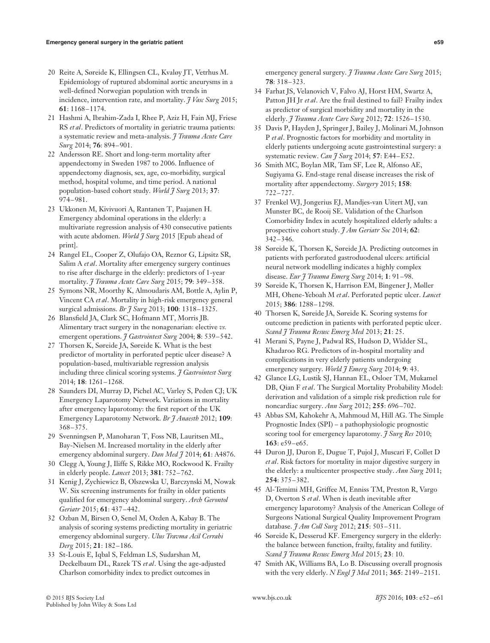- 20 Reite A, Søreide K, Ellingsen CL, Kvaløy JT, Vetrhus M. Epidemiology of ruptured abdominal aortic aneurysms in a well-defined Norwegian population with trends in incidence, intervention rate, and mortality. *J Vasc Surg* 2015; **61**: 1168–1174.
- 21 Hashmi A, Ibrahim-Zada I, Rhee P, Aziz H, Fain MJ, Friese RS *et al*. Predictors of mortality in geriatric trauma patients: a systematic review and meta-analysis. *J Trauma Acute Care Surg* 2014; **76**: 894–901.
- 22 Andersson RE. Short and long-term mortality after appendectomy in Sweden 1987 to 2006. Influence of appendectomy diagnosis, sex, age, co-morbidity, surgical method, hospital volume, and time period. A national population-based cohort study. *World J Surg* 2013; **37**: 974–981.
- 23 Ukkonen M, Kivivuori A, Rantanen T, Paajanen H. Emergency abdominal operations in the elderly: a multivariate regression analysis of 430 consecutive patients with acute abdomen. *World J Surg* 2015 [Epub ahead of print].
- 24 Rangel EL, Cooper Z, Olufajo OA, Reznor G, Lipsitz SR, Salim A *et al*. Mortality after emergency surgery continues to rise after discharge in the elderly: predictors of 1-year mortality. *J Trauma Acute Care Surg* 2015; **79**: 349–358.
- 25 Symons NR, Moorthy K, Almoudaris AM, Bottle A, Aylin P, Vincent CA *et al*. Mortality in high-risk emergency general surgical admissions. *Br J Surg* 2013; **100**: 1318–1325.
- 26 Blansfield JA, Clark SC, Hofmann MT, Morris JB. Alimentary tract surgery in the nonagenarian: elective *vs.* emergent operations. *J Gastrointest Surg* 2004; **8**: 539–542.
- 27 Thorsen K, Søreide JA, Søreide K. What is the best predictor of mortality in perforated peptic ulcer disease? A population-based, multivariable regression analysis including three clinical scoring systems. *J Gastrointest Surg* 2014; **18**: 1261–1268.
- 28 Saunders DI, Murray D, Pichel AC, Varley S, Peden CJ; UK Emergency Laparotomy Network. Variations in mortality after emergency laparotomy: the first report of the UK Emergency Laparotomy Network. *Br J Anaesth* 2012; **109**: 368–375.
- 29 Svenningsen P, Manoharan T, Foss NB, Lauritsen ML, Bay-Nielsen M. Increased mortality in the elderly after emergency abdominal surgery. *Dan Med J* 2014; **61**: A4876.
- 30 Clegg A, Young J, Iliffe S, Rikke MO, Rockwood K. Frailty in elderly people. *Lancet* 2013; **381**: 752–762.
- 31 Kenig J, Zychiewicz B, Olszewska U, Barczynski M, Nowak W. Six screening instruments for frailty in older patients qualified for emergency abdominal surgery. *Arch Gerontol Geriatr* 2015; **61**: 437–442.
- 32 Ozban M, Birsen O, Senel M, Ozden A, Kabay B. The analysis of scoring systems predicting mortality in geriatric emergency abdominal surgery. *Ulus Travma Acil Cerrahi Derg* 2015; **21**: 182–186.
- 33 St-Louis E, Iqbal S, Feldman LS, Sudarshan M, Deckelbaum DL, Razek TS *et al*. Using the age-adjusted Charlson comorbidity index to predict outcomes in

emergency general surgery. *J Trauma Acute Care Surg* 2015; **78**: 318–323.

- 34 Farhat JS, Velanovich V, Falvo AJ, Horst HM, Swartz A, Patton JH Jr *et al*. Are the frail destined to fail? Frailty index as predictor of surgical morbidity and mortality in the elderly. *J Trauma Acute Care Surg* 2012; **72**: 1526–1530.
- 35 Davis P, Hayden J, Springer J, Bailey J, Molinari M, Johnson P *et al*. Prognostic factors for morbidity and mortality in elderly patients undergoing acute gastrointestinal surgery: a systematic review. *Can J Surg* 2014; **57**: E44–E52.
- 36 Smith MC, Boylan MR, Tam SF, Lee R, Alfonso AE, Sugiyama G. End-stage renal disease increases the risk of mortality after appendectomy. *Surgery* 2015; **158**: 722–727.
- 37 Frenkel WJ, Jongerius EJ, Mandjes-van Uitert MJ, van Munster BC, de Rooij SE. Validation of the Charlson Comorbidity Index in acutely hospitalized elderly adults: a prospective cohort study. *J Am Geriatr Soc* 2014; **62**:  $342 - 346$
- 38 Søreide K, Thorsen K, Søreide JA. Predicting outcomes in patients with perforated gastroduodenal ulcers: artificial neural network modelling indicates a highly complex disease. *Eur J Trauma Emerg Surg* 2014; **1**: 91–98.
- 39 Søreide K, Thorsen K, Harrison EM, Bingener J, Møller MH, Ohene-Yeboah M *et al*. Perforated peptic ulcer. *Lancet* 2015; **386**: 1288–1298.
- 40 Thorsen K, Søreide JA, Søreide K. Scoring systems for outcome prediction in patients with perforated peptic ulcer. *Scand J Trauma Resusc Emerg Med* 2013; **21**: 25.
- 41 Merani S, Payne J, Padwal RS, Hudson D, Widder SL, Khadaroo RG. Predictors of in-hospital mortality and complications in very elderly patients undergoing emergency surgery. *World J Emerg Surg* 2014; **9**: 43.
- 42 Glance LG, Lustik SJ, Hannan EL, Osloer TM, Mukamel DB, Qian F *et al*. The Surgical Mortality Probability Model: derivation and validation of a simple risk prediction rule for noncardiac surgery. *Ann Surg* 2012; **255**: 696–702.
- 43 Abbas SM, Kahokehr A, Mahmoud M, Hill AG. The Simple Prognostic Index (SPI) – a pathophysiologic prognostic scoring tool for emergency laparotomy. *J Surg Res* 2010; **163**: e59–e65.
- 44 Duron JJ, Duron E, Dugue T, Pujol J, Muscari F, Collet D *et al*. Risk factors for mortality in major digestive surgery in the elderly: a multicenter prospective study. *Ann Surg* 2011; **254**: 375–382.
- 45 Al-Temimi MH, Griffee M, Enniss TM, Preston R, Vargo D, Overton S *et al*. When is death inevitable after emergency laparotomy? Analysis of the American College of Surgeons National Surgical Quality Improvement Program database. *J Am Coll Surg* 2012; **215**: 503–511.
- 46 Søreide K, Desserud KF. Emergency surgery in the elderly: the balance between function, frailty, fatality and futility. *Scand J Trauma Resusc Emerg Med* 2015; **23**: 10.
- 47 Smith AK, Williams BA, Lo B. Discussing overall prognosis with the very elderly. *N Engl J Med* 2011; **365**: 2149–2151.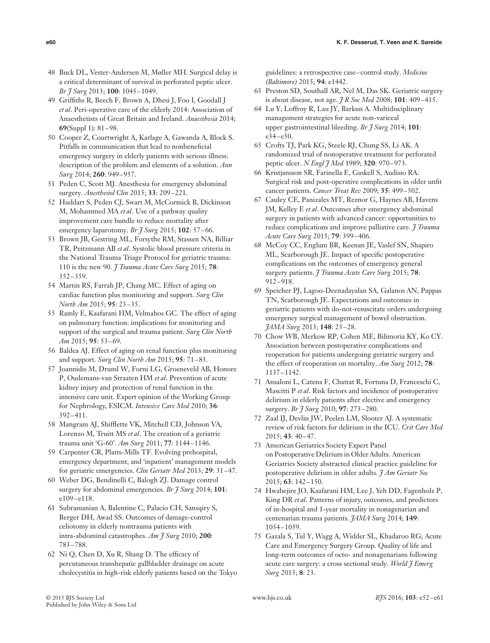- 48 Buck DL, Vester-Andersen M, Møller MH. Surgical delay is a critical determinant of survival in perforated peptic ulcer. *Br J Surg* 2013; **100**: 1045–1049.
- 49 Griffiths R, Beech F, Brown A, Dhesi J, Foo I, Goodall J *et al*. Peri-operative care of the elderly 2014: Association of Anaesthetists of Great Britain and Ireland. *Anaesthesia* 2014; **69**(Suppl 1): 81–98.
- 50 Cooper Z, Courtwright A, Karlage A, Gawanda A, Block S. Pitfalls in communication that lead to nonbeneficial emergency surgery in elderly patients with serious illness: description of the problem and elements of a solution. *Ann Surg* 2014; **260**: 949–957.
- 51 Peden C, Scott MJ. Anesthesia for emergency abdominal surgery. *Anesthesiol Clin* 2015; **33**: 209–221.
- 52 Huddart S, Peden CJ, Swart M, McCormick B, Dickinson M, Mohammed MA *et al*. Use of a pathway quality improvement care bundle to reduce mortality after emergency laparotomy. *Br J Surg* 2015; **102**: 57–66.
- 53 Brown JB, Gestring ML, Forsythe RM, Stassen NA, Billiar TR, Peitzmann AB *et al*. Systolic blood pressure criteria in the National Trauma Triage Protocol for geriatric trauma: 110 is the new 90. *J Trauma Acute Care Surg* 2015; **78**: 352–359.
- 54 Martin RS, Farrah JP, Chang MC. Effect of aging on cardiac function plus monitoring and support. *Surg Clin North Am* 2015; **95**: 23–35.
- 55 Ramly E, Kaafarani HM, Velmahos GC. The effect of aging on pulmonary function: implications for monitoring and support of the surgical and trauma patient. *Surg Clin North Am* 2015; **95**: 53–69.
- 56 Baldea AJ. Effect of aging on renal function plus monitoring and support. *Surg Clin North Am* 2015; **95**: 71–83.
- 57 Joannidis M, Druml W, Forni LG, Groeneveld AB, Honore P, Oudemans-van Straaten HM *et al*. Prevention of acute kidney injury and protection of renal function in the intensive care unit. Expert opinion of the Working Group for Nephrology, ESICM. *Intensive Care Med* 2010; **36**: 392–411.
- 58 Mangram AJ, Shifflette VK, Mitchell CD, Johnson VA, Lorenzo M, Truitt MS *et al*. The creation of a geriatric trauma unit 'G-60'. *Am Surg* 2011; **77**: 1144–1146.
- 59 Carpenter CR, Platts-Mills TF. Evolving prehospital, emergency department, and 'inpatient' management models for geriatric emergencies. *Clin Geriatr Med* 2013; **29**: 31–47.
- 60 Weber DG, Bendinelli C, Balogh ZJ. Damage control surgery for abdominal emergencies. *Br J Surg* 2014; **101**: e109–e118.
- 61 Subramanian A, Balentine C, Palacio CH, Sansqiry S, Berger DH, Awad SS. Outcomes of damage-control celiotomy in elderly nontrauma patients with intra-abdominal catastrophes. *Am J Surg* 2010; **200**: 783–788.
- 62 Ni Q, Chen D, Xu R, Shang D. The efficacy of percutaneous transhepatic gallbladder drainage on acute cholecystitis in high-risk elderly patients based on the Tokyo

guidelines: a retrospective case–control study. *Medicine (Baltimore)* 2015; **94**: e1442.

- 63 Preston SD, Southall AR, Nel M, Das SK. Geriatric surgery is about disease, not age. *J R Soc Med* 2008; **101**: 409–415.
- 64 Lu Y, Loffroy R, Lau JY, Barkun A. Multidisciplinary management strategies for acute non-variceal upper gastrointestinal bleeding. *Br J Surg* 2014; **101**: e34–e50.
- 65 Crofts TJ, Park KG, Steele RJ, Chung SS, Li AK. A randomized trial of nonoperative treatment for perforated peptic ulcer. *N Engl J Med* 1989; **320**: 970–973.
- 66 Kristjansson SR, Farinella E, Gaskell S, Audisio RA. Surgical risk and post-operative complications in older unfit cancer patients. *Cancer Treat Rev* 2009; **35**: 499–502.
- 67 Cauley CE, Panizales MT, Reznor G, Haynes AB, Havens JM, Kelley E *et al*. Outcomes after emergency abdominal surgery in patients with advanced cancer: opportunities to reduce complications and improve palliative care. *J Trauma Acute Care Surg* 2015; **79**: 399–406.
- 68 McCoy CC, Englum BR, Keenan JE, Vaslef SN, Shapiro ML, Scarborough JE. Impact of specific postoperative complications on the outcomes of emergency general surgery patients. *J Trauma Acute Care Surg* 2015; **78**: 912–918.
- 69 Speicher PJ, Lagoo-Deenadayalan SA, Galanos AN, Pappas TN, Scarborough JE. Expectations and outcomes in geriatric patients with do-not-resuscitate orders undergoing emergency surgical management of bowel obstruction. *JAMA Surg* 2013; **148**: 23–28.
- 70 Chow WB, Merkow RP, Cohen ME, Bilimoria KY, Ko CY. Association between postoperative complications and reoperation for patients undergoing geriatric surgery and the effect of reoperation on mortality. *Am Surg* 2012; **78**: 1137–1142.
- 71 Ansaloni L, Catena F, Chattat R, Fortuna D, Franceschi C, Mascitti P *et al*. Risk factors and incidence of postoperative delirium in elderly patients after elective and emergency surgery. *Br J Surg* 2010; **97**: 273–280.
- 72 Zaal IJ, Devlin JW, Peelen LM, Slooter AJ. A systematic review of risk factors for delirium in the ICU. *Crit Care Med* 2015; **43**: 40–47.
- 73 American Geriatrics Society Expert Panel on Postoperative Delirium in Older Adults. American Geriatrics Society abstracted clinical practice guideline for postoperative delirium in older adults. *J Am Geriatr Soc* 2015; **63**: 142–150.
- 74 Hwabejire JO, Kaafarani HM, Lee J, Yeh DD, Fagenholz P, King DR *et al*. Patterns of injury, outcomes, and predictors of in-hospital and 1-year mortality in nonagenarian and centenarian trauma patients. *JAMA Surg* 2014; **149**: 1054–1059.
- 75 Gazala S, Tul Y, Wagg A, Widder SL, Khadaroo RG; Acute Care and Emergency Surgery Group. Quality of life and long-term outcomes of octo- and nonagenarians following acute care surgery: a cross sectional study. *World J Emerg Surg* 2013; **8**: 23.